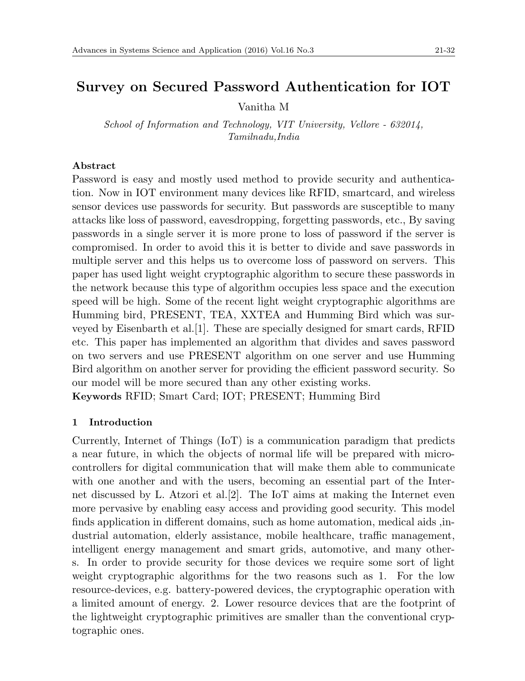# **Survey on Secured Password Authentication for IOT**

Vanitha M

*School of Information and Technology, VIT University, Vellore - 632014, Tamilnadu,India*

### **Abstract**

Password is easy and mostly used method to provide security and authentication. Now in IOT environment many devices like RFID, smartcard, and wireless sensor devices use passwords for security. But passwords are susceptible to many attacks like loss of password, eavesdropping, forgetting passwords, etc., By saving passwords in a single server it is more prone to loss of password if the server is compromised. In order to avoid this it is better to divide and save passwords in multiple server and this helps us to overcome loss of password on servers. This paper has used light weight cryptographic algorithm to secure these passwords in the network because this type of algorithm occupies less space and the execution speed will be high. Some of the recent light weight cryptographic algorithms are Humming bird, PRESENT, TEA, XXTEA and Humming Bird which was surveyed by Eisenbarth et al.[1]. These are specially designed for smart cards, RFID etc. This paper has implemented an algorithm that divides and saves password on two servers and use PRESENT algorithm on one server and use Humming Bird algorithm on another server for providing the efficient password security. So our model will be more secured than any other existing works. **Keywords** RFID; Smart Card; IOT; PRESENT; Humming Bird

### **1 Introduction**

Currently, Internet of Things (IoT) is a communication paradigm that predicts a near future, in which the objects of normal life will be prepared with microcontrollers for digital communication that will make them able to communicate with one another and with the users, becoming an essential part of the Internet discussed by L. Atzori et al.[2]. The IoT aims at making the Internet even more pervasive by enabling easy access and providing good security. This model finds application in different domains, such as home automation, medical aids ,industrial automation, elderly assistance, mobile healthcare, traffic management, intelligent energy management and smart grids, automotive, and many others. In order to provide security for those devices we require some sort of light weight cryptographic algorithms for the two reasons such as 1. For the low resource-devices, e.g. battery-powered devices, the cryptographic operation with a limited amount of energy. 2. Lower resource devices that are the footprint of the lightweight cryptographic primitives are smaller than the conventional cryptographic ones.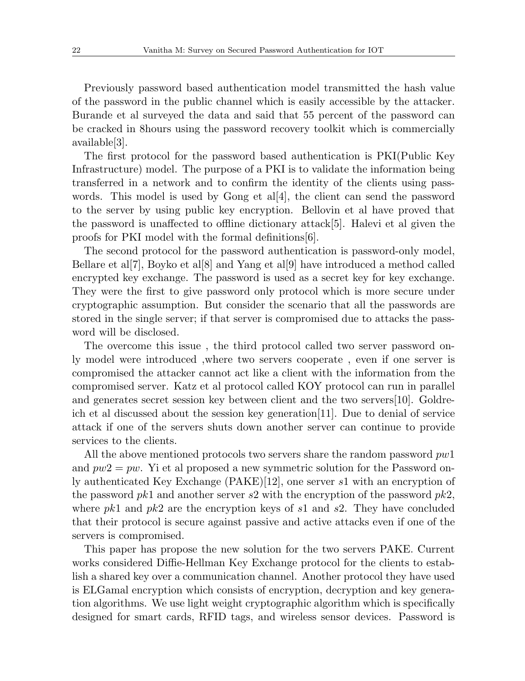Previously password based authentication model transmitted the hash value of the password in the public channel which is easily accessible by the attacker. Burande et al surveyed the data and said that 55 percent of the password can be cracked in 8hours using the password recovery toolkit which is commercially available[3].

The first protocol for the password based authentication is PKI(Public Key Infrastructure) model. The purpose of a PKI is to validate the information being transferred in a network and to confirm the identity of the clients using passwords. This model is used by Gong et al.  $|4|$ , the client can send the password to the server by using public key encryption. Bellovin et al have proved that the password is unaffected to offline dictionary attack[5]. Halevi et al given the proofs for PKI model with the formal definitions[6].

The second protocol for the password authentication is password-only model, Bellare et al[7], Boyko et al[8] and Yang et al[9] have introduced a method called encrypted key exchange. The password is used as a secret key for key exchange. They were the first to give password only protocol which is more secure under cryptographic assumption. But consider the scenario that all the passwords are stored in the single server; if that server is compromised due to attacks the password will be disclosed.

The overcome this issue , the third protocol called two server password only model were introduced ,where two servers cooperate , even if one server is compromised the attacker cannot act like a client with the information from the compromised server. Katz et al protocol called KOY protocol can run in parallel and generates secret session key between client and the two servers[10]. Goldreich et al discussed about the session key generation[11]. Due to denial of service attack if one of the servers shuts down another server can continue to provide services to the clients.

All the above mentioned protocols two servers share the random password *pw*1 and  $pw2 = pw$ . Yi et al proposed a new symmetric solution for the Password only authenticated Key Exchange (PAKE)[12], one server *s*1 with an encryption of the password *pk*1 and another server *s*2 with the encryption of the password *pk*2, where *pk*1 and *pk*2 are the encryption keys of *s*1 and *s*2. They have concluded that their protocol is secure against passive and active attacks even if one of the servers is compromised.

This paper has propose the new solution for the two servers PAKE. Current works considered Diffie-Hellman Key Exchange protocol for the clients to establish a shared key over a communication channel. Another protocol they have used is ELGamal encryption which consists of encryption, decryption and key generation algorithms. We use light weight cryptographic algorithm which is specifically designed for smart cards, RFID tags, and wireless sensor devices. Password is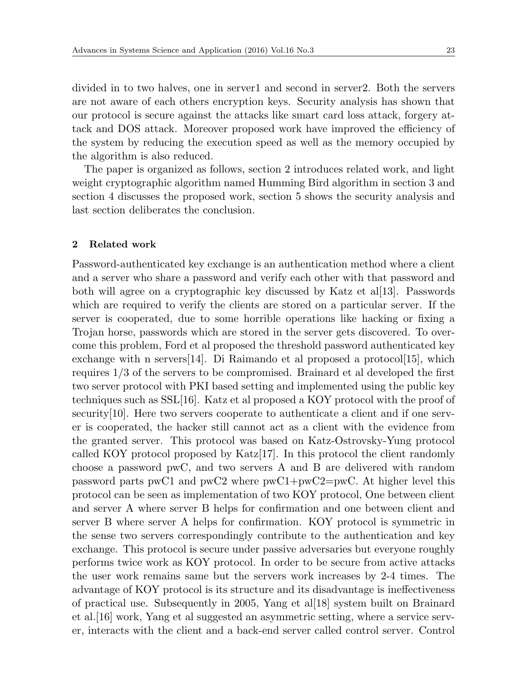divided in to two halves, one in server1 and second in server2. Both the servers are not aware of each others encryption keys. Security analysis has shown that our protocol is secure against the attacks like smart card loss attack, forgery attack and DOS attack. Moreover proposed work have improved the efficiency of the system by reducing the execution speed as well as the memory occupied by the algorithm is also reduced.

The paper is organized as follows, section 2 introduces related work, and light weight cryptographic algorithm named Humming Bird algorithm in section 3 and section 4 discusses the proposed work, section 5 shows the security analysis and last section deliberates the conclusion.

#### **2 Related work**

Password-authenticated key exchange is an authentication method where a client and a server who share a password and verify each other with that password and both will agree on a cryptographic key discussed by Katz et al[13]. Passwords which are required to verify the clients are stored on a particular server. If the server is cooperated, due to some horrible operations like hacking or fixing a Trojan horse, passwords which are stored in the server gets discovered. To overcome this problem, Ford et al proposed the threshold password authenticated key exchange with n servers [14]. Di Raimando et al proposed a protocol [15], which requires 1*/*3 of the servers to be compromised. Brainard et al developed the first two server protocol with PKI based setting and implemented using the public key techniques such as SSL[16]. Katz et al proposed a KOY protocol with the proof of security[10]. Here two servers cooperate to authenticate a client and if one server is cooperated, the hacker still cannot act as a client with the evidence from the granted server. This protocol was based on Katz-Ostrovsky-Yung protocol called KOY protocol proposed by Katz[17]. In this protocol the client randomly choose a password pwC, and two servers A and B are delivered with random password parts pwC1 and pwC2 where pwC1+pwC2=pwC. At higher level this protocol can be seen as implementation of two KOY protocol, One between client and server A where server B helps for confirmation and one between client and server B where server A helps for confirmation. KOY protocol is symmetric in the sense two servers correspondingly contribute to the authentication and key exchange. This protocol is secure under passive adversaries but everyone roughly performs twice work as KOY protocol. In order to be secure from active attacks the user work remains same but the servers work increases by 2-4 times. The advantage of KOY protocol is its structure and its disadvantage is ineffectiveness of practical use. Subsequently in 2005, Yang et al[18] system built on Brainard et al.[16] work, Yang et al suggested an asymmetric setting, where a service server, interacts with the client and a back-end server called control server. Control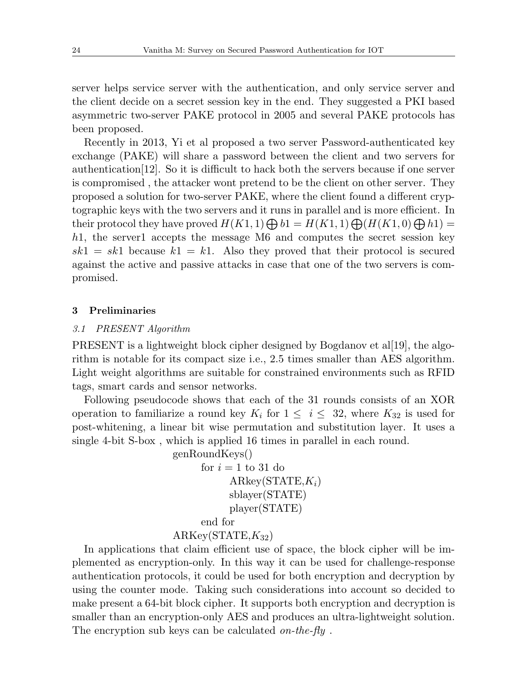server helps service server with the authentication, and only service server and the client decide on a secret session key in the end. They suggested a PKI based asymmetric two-server PAKE protocol in 2005 and several PAKE protocols has been proposed.

Recently in 2013, Yi et al proposed a two server Password-authenticated key exchange (PAKE) will share a password between the client and two servers for authentication[12]. So it is difficult to hack both the servers because if one server is compromised , the attacker wont pretend to be the client on other server. They proposed a solution for two-server PAKE, where the client found a different cryptographic keys with the two servers and it runs in parallel and is more efficient. In their protocol they have proved  $H(K1, 1) \bigoplus b1 = H(K1, 1) \bigoplus (H(K1, 0) \bigoplus h1) =$ *h*1, the server1 accepts the message M6 and computes the secret session key  $sk1 = sk1$  because  $k1 = k1$ . Also they proved that their protocol is secured against the active and passive attacks in case that one of the two servers is compromised.

#### **3 Preliminaries**

#### *3.1 PRESENT Algorithm*

PRESENT is a lightweight block cipher designed by Bogdanov et al[19], the algorithm is notable for its compact size i.e., 2.5 times smaller than AES algorithm. Light weight algorithms are suitable for constrained environments such as RFID tags, smart cards and sensor networks.

Following pseudocode shows that each of the 31 rounds consists of an XOR operation to familiarize a round key  $K_i$  for  $1 \leq i \leq 32$ , where  $K_{32}$  is used for post-whitening, a linear bit wise permutation and substitution layer. It uses a single 4-bit S-box , which is applied 16 times in parallel in each round.

genRoundKeys()

for 
$$
i = 1
$$
 to 31 do  
ARkey(STATE, $K_i$ )  
shlayer(STATE)  
player(STATE)

end for

#### ARKey(STATE,*K*32)

In applications that claim efficient use of space, the block cipher will be implemented as encryption-only. In this way it can be used for challenge-response authentication protocols, it could be used for both encryption and decryption by using the counter mode. Taking such considerations into account so decided to make present a 64-bit block cipher. It supports both encryption and decryption is smaller than an encryption-only AES and produces an ultra-lightweight solution. The encryption sub keys can be calculated *on-the-fly* .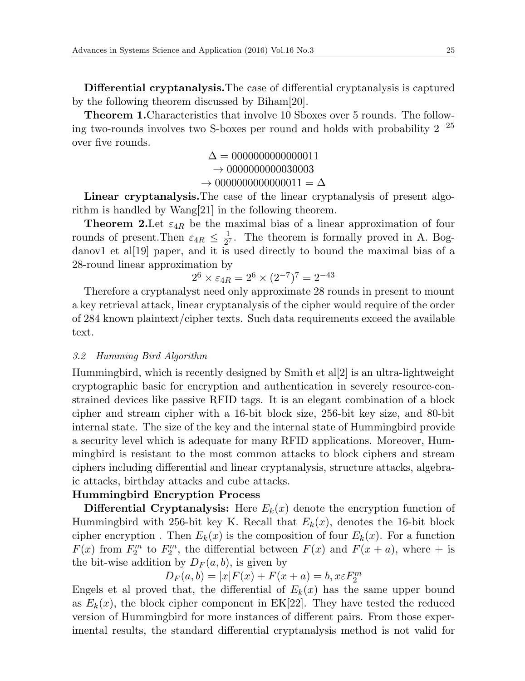**Differential cryptanalysis.**The case of differential cryptanalysis is captured by the following theorem discussed by Biham[20].

**Theorem 1.**Characteristics that involve 10 Sboxes over 5 rounds. The following two-rounds involves two S-boxes per round and holds with probability 2*−*<sup>25</sup> over five rounds.

> $\Delta = 0000000000000011$ *→* 0000000000030003  $\rightarrow 00000000000000011 = \Delta$

**Linear cryptanalysis.**The case of the linear cryptanalysis of present algorithm is handled by Wang[21] in the following theorem.

**Theorem 2.**Let *ε*4*<sup>R</sup>* be the maximal bias of a linear approximation of four rounds of present.Then  $\varepsilon_{4R} \leq \frac{1}{2^6}$  $\frac{1}{2^7}$ . The theorem is formally proved in A. Bogdanov1 et al[19] paper, and it is used directly to bound the maximal bias of a 28-round linear approximation by

$$
2^6 \times \varepsilon_{4R} = 2^6 \times (2^{-7})^7 = 2^{-43}
$$

Therefore a cryptanalyst need only approximate 28 rounds in present to mount a key retrieval attack, linear cryptanalysis of the cipher would require of the order of 284 known plaintext/cipher texts. Such data requirements exceed the available text.

# *3.2 Humming Bird Algorithm*

Hummingbird, which is recently designed by Smith et al[2] is an ultra-lightweight cryptographic basic for encryption and authentication in severely resource-constrained devices like passive RFID tags. It is an elegant combination of a block cipher and stream cipher with a 16-bit block size, 256-bit key size, and 80-bit internal state. The size of the key and the internal state of Hummingbird provide a security level which is adequate for many RFID applications. Moreover, Hummingbird is resistant to the most common attacks to block ciphers and stream ciphers including differential and linear cryptanalysis, structure attacks, algebraic attacks, birthday attacks and cube attacks.

# **Hummingbird Encryption Process**

**Differential Cryptanalysis:** Here  $E_k(x)$  denote the encryption function of Hummingbird with 256-bit key K. Recall that  $E_k(x)$ , denotes the 16-bit block cipher encryption . Then  $E_k(x)$  is the composition of four  $E_k(x)$ . For a function  $F(x)$  from  $F_2^m$  to  $F_2^m$ , the differential between  $F(x)$  and  $F(x + a)$ , where + is the bit-wise addition by  $D_F(a, b)$ , is given by

 $D_F(a, b) = |x|F(x) + F(x + a) = b, x \in F_2^m$ 

Engels et al proved that, the differential of  $E_k(x)$  has the same upper bound as  $E_k(x)$ , the block cipher component in  $EK[22]$ . They have tested the reduced version of Hummingbird for more instances of different pairs. From those experimental results, the standard differential cryptanalysis method is not valid for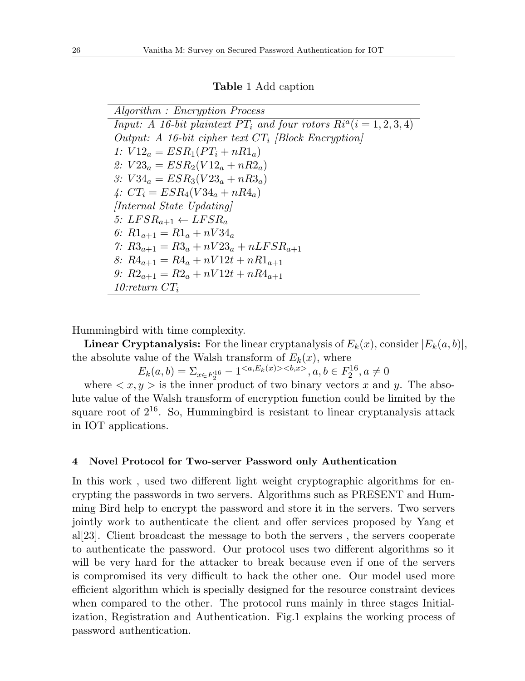#### **Table** 1 Add caption

*Algorithm : Encryption Process Input: A 16-bit plaintext*  $PT_i$  *and four rotors*  $R_i^a(i = 1, 2, 3, 4)$ *Output: A 16-bit cipher text CT<sup>i</sup> [Block Encryption] 1:*  $V12_a = ESR_1(PT_i + nR1_a)$ 2:  $V23_a = ESR_2(V12_a + nR2_a)$ *3: V* 34*<sup>a</sup>* = *ESR*3(*V* 23*<sup>a</sup>* + *nR*3*a*)  $4: CT_i = ESR_4(V34_a + nR4_a)$ *[Internal State Updating]*  $5: LFSR_{a+1} \leftarrow LFSR_a$ *6:*  $R1_{a+1} = R1_a + nV34_a$ *7*:  $R3_{a+1} = R3_a + nV23_a + nLFSR_{a+1}$ *8:*  $R4_{a+1} = R4_a + nV12t + nR1_{a+1}$ *9: R*2*a*+1 = *R*2*<sup>a</sup>* + *nV* 12*t* + *nR*4*a*+1 *10:return CT<sup>i</sup>*

Hummingbird with time complexity.

**Linear Cryptanalysis:** For the linear cryptanalysis of  $E_k(x)$ , consider  $|E_k(a, b)|$ , the absolute value of the Walsh transform of  $E_k(x)$ , where

 $E_k(a, b) = \sum_{x \in F_2^{16}} -1 \le a, E_k(x) \le b, x > a, b \in F_2^{16}, a \ne 0$ 

where  $\langle x, y \rangle$  is the inner product of two binary vectors x and y. The absolute value of the Walsh transform of encryption function could be limited by the square root of  $2^{16}$ . So, Hummingbird is resistant to linear cryptanalysis attack in IOT applications.

#### **4 Novel Protocol for Two-server Password only Authentication**

In this work , used two different light weight cryptographic algorithms for encrypting the passwords in two servers. Algorithms such as PRESENT and Humming Bird help to encrypt the password and store it in the servers. Two servers jointly work to authenticate the client and offer services proposed by Yang et al[23]. Client broadcast the message to both the servers , the servers cooperate to authenticate the password. Our protocol uses two different algorithms so it will be very hard for the attacker to break because even if one of the servers is compromised its very difficult to hack the other one. Our model used more efficient algorithm which is specially designed for the resource constraint devices when compared to the other. The protocol runs mainly in three stages Initialization, Registration and Authentication. Fig.1 explains the working process of password authentication.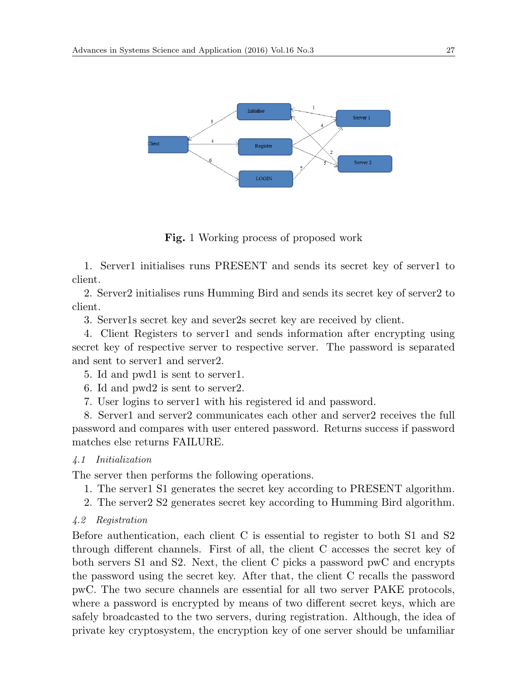

**Fig.** 1 Working process of proposed work

1. Server1 initialises runs PRESENT and sends its secret key of server1 to client.

2. Server2 initialises runs Humming Bird and sends its secret key of server2 to client.

3. Server1s secret key and sever2s secret key are received by client.

4. Client Registers to server1 and sends information after encrypting using secret key of respective server to respective server. The password is separated and sent to server1 and server2.

- 5. Id and pwd1 is sent to server1.
- 6. Id and pwd2 is sent to server2.
- 7. User logins to server1 with his registered id and password.

8. Server1 and server2 communicates each other and server2 receives the full password and compares with user entered password. Returns success if password matches else returns FAILURE.

### *4.1 Initialization*

The server then performs the following operations.

- 1. The server1 S1 generates the secret key according to PRESENT algorithm.
- 2. The server2 S2 generates secret key according to Humming Bird algorithm.
- *4.2 Registration*

Before authentication, each client C is essential to register to both S1 and S2 through different channels. First of all, the client C accesses the secret key of both servers S1 and S2. Next, the client C picks a password pwC and encrypts the password using the secret key. After that, the client C recalls the password pwC. The two secure channels are essential for all two server PAKE protocols, where a password is encrypted by means of two different secret keys, which are safely broadcasted to the two servers, during registration. Although, the idea of private key cryptosystem, the encryption key of one server should be unfamiliar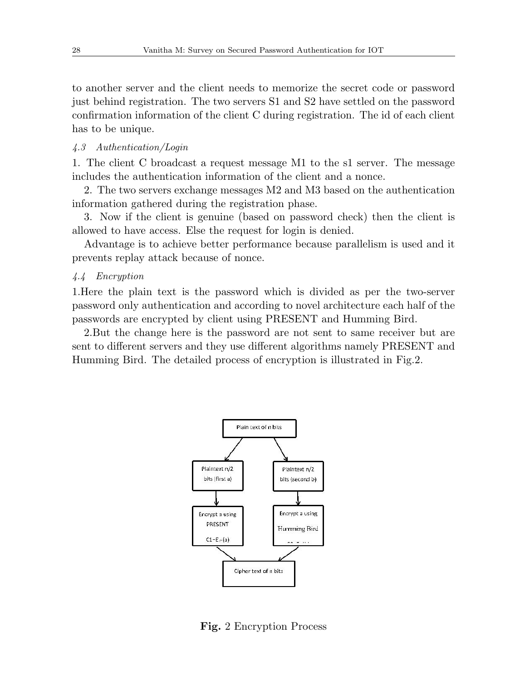to another server and the client needs to memorize the secret code or password just behind registration. The two servers S1 and S2 have settled on the password confirmation information of the client C during registration. The id of each client has to be unique.

#### *4.3 Authentication/Login*

1. The client C broadcast a request message M1 to the s1 server. The message includes the authentication information of the client and a nonce.

2. The two servers exchange messages M2 and M3 based on the authentication information gathered during the registration phase.

3. Now if the client is genuine (based on password check) then the client is allowed to have access. Else the request for login is denied.

Advantage is to achieve better performance because parallelism is used and it prevents replay attack because of nonce.

#### *4.4 Encryption*

1.Here the plain text is the password which is divided as per the two-server password only authentication and according to novel architecture each half of the passwords are encrypted by client using PRESENT and Humming Bird.

2.But the change here is the password are not sent to same receiver but are sent to different servers and they use different algorithms namely PRESENT and Humming Bird. The detailed process of encryption is illustrated in Fig.2.



**Fig.** 2 Encryption Process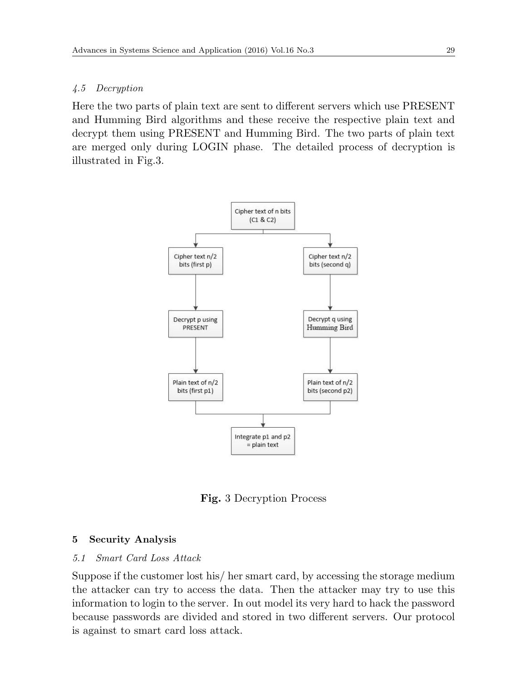# *4.5 Decryption*

Here the two parts of plain text are sent to different servers which use PRESENT and Humming Bird algorithms and these receive the respective plain text and decrypt them using PRESENT and Humming Bird. The two parts of plain text are merged only during LOGIN phase. The detailed process of decryption is illustrated in Fig.3.



**Fig.** 3 Decryption Process

# **5 Security Analysis**

# *5.1 Smart Card Loss Attack*

Suppose if the customer lost his/ her smart card, by accessing the storage medium the attacker can try to access the data. Then the attacker may try to use this information to login to the server. In out model its very hard to hack the password because passwords are divided and stored in two different servers. Our protocol is against to smart card loss attack.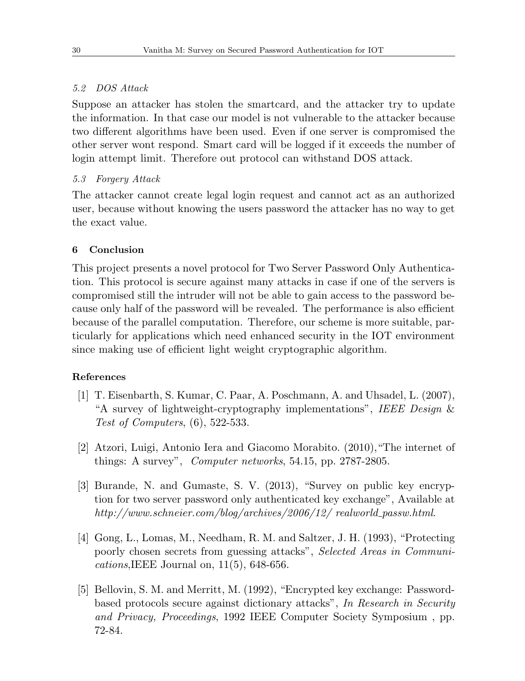# *5.2 DOS Attack*

Suppose an attacker has stolen the smartcard, and the attacker try to update the information. In that case our model is not vulnerable to the attacker because two different algorithms have been used. Even if one server is compromised the other server wont respond. Smart card will be logged if it exceeds the number of login attempt limit. Therefore out protocol can withstand DOS attack.

## *5.3 Forgery Attack*

The attacker cannot create legal login request and cannot act as an authorized user, because without knowing the users password the attacker has no way to get the exact value.

### **6 Conclusion**

This project presents a novel protocol for Two Server Password Only Authentication. This protocol is secure against many attacks in case if one of the servers is compromised still the intruder will not be able to gain access to the password because only half of the password will be revealed. The performance is also efficient because of the parallel computation. Therefore, our scheme is more suitable, particularly for applications which need enhanced security in the IOT environment since making use of efficient light weight cryptographic algorithm.

### **References**

- [1] T. Eisenbarth, S. Kumar, C. Paar, A. Poschmann, A. and Uhsadel, L. (2007), "A survey of lightweight-cryptography implementations", *IEEE Design* & *Test of Computers*, (6), 522-533.
- [2] Atzori, Luigi, Antonio Iera and Giacomo Morabito. (2010),"The internet of things: A survey", *Computer networks*, 54.15, pp. 2787-2805.
- [3] Burande, N. and Gumaste, S. V. (2013), "Survey on public key encryption for two server password only authenticated key exchange", Available at *http://www.schneier.com/blog/archives/2006/12/ realworld passw.html*.
- [4] Gong, L., Lomas, M., Needham, R. M. and Saltzer, J. H. (1993), "Protecting poorly chosen secrets from guessing attacks", *Selected Areas in Communications*,IEEE Journal on, 11(5), 648-656.
- [5] Bellovin, S. M. and Merritt, M. (1992), "Encrypted key exchange: Passwordbased protocols secure against dictionary attacks", *In Research in Security and Privacy, Proceedings*, 1992 IEEE Computer Society Symposium , pp. 72-84.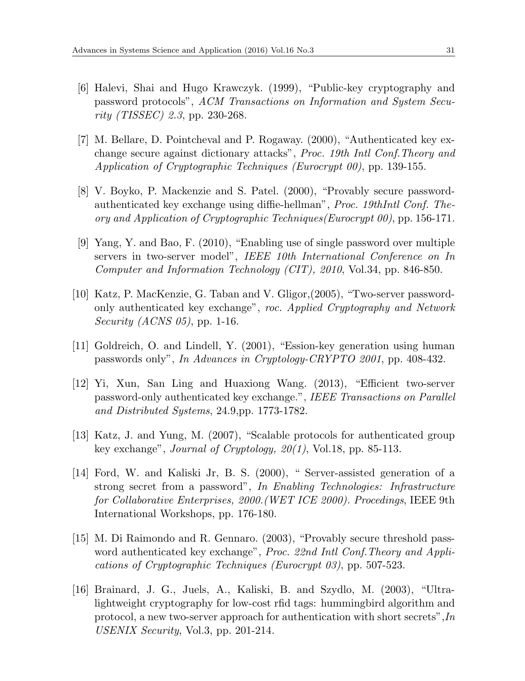- [6] Halevi, Shai and Hugo Krawczyk. (1999), "Public-key cryptography and password protocols", *ACM Transactions on Information and System Security (TISSEC) 2.3*, pp. 230-268.
- [7] M. Bellare, D. Pointcheval and P. Rogaway. (2000), "Authenticated key exchange secure against dictionary attacks", *Proc. 19th Intl Conf.Theory and Application of Cryptographic Techniques (Eurocrypt 00)*, pp. 139-155.
- [8] V. Boyko, P. Mackenzie and S. Patel. (2000), "Provably secure passwordauthenticated key exchange using diffie-hellman", *Proc. 19thIntl Conf. Theory and Application of Cryptographic Techniques(Eurocrypt 00)*, pp. 156-171.
- [9] Yang, Y. and Bao, F. (2010), "Enabling use of single password over multiple servers in two-server model", *IEEE 10th International Conference on In Computer and Information Technology (CIT), 2010*, Vol.34, pp. 846-850.
- [10] Katz, P. MacKenzie, G. Taban and V. Gligor,(2005), "Two-server passwordonly authenticated key exchange", *roc. Applied Cryptography and Network Security (ACNS 05)*, pp. 1-16.
- [11] Goldreich, O. and Lindell, Y. (2001), "Ession-key generation using human passwords only", *In Advances in Cryptology-CRYPTO 2001*, pp. 408-432.
- [12] Yi, Xun, San Ling and Huaxiong Wang. (2013), "Efficient two-server password-only authenticated key exchange.", *IEEE Transactions on Parallel and Distributed Systems*, 24.9,pp. 1773-1782.
- [13] Katz, J. and Yung, M. (2007), "Scalable protocols for authenticated group key exchange", *Journal of Cryptology, 20(1)*, Vol.18, pp. 85-113.
- [14] Ford, W. and Kaliski Jr, B. S. (2000), " Server-assisted generation of a strong secret from a password", *In Enabling Technologies: Infrastructure for Collaborative Enterprises, 2000.(WET ICE 2000). Procedings*, IEEE 9th International Workshops, pp. 176-180.
- [15] M. Di Raimondo and R. Gennaro. (2003), "Provably secure threshold password authenticated key exchange", *Proc. 22nd Intl Conf.Theory and Applications of Cryptographic Techniques (Eurocrypt 03)*, pp. 507-523.
- [16] Brainard, J. G., Juels, A., Kaliski, B. and Szydlo, M. (2003), "Ultralightweight cryptography for low-cost rfid tags: hummingbird algorithm and protocol, a new two-server approach for authentication with short secrets",*In USENIX Security*, Vol.3, pp. 201-214.